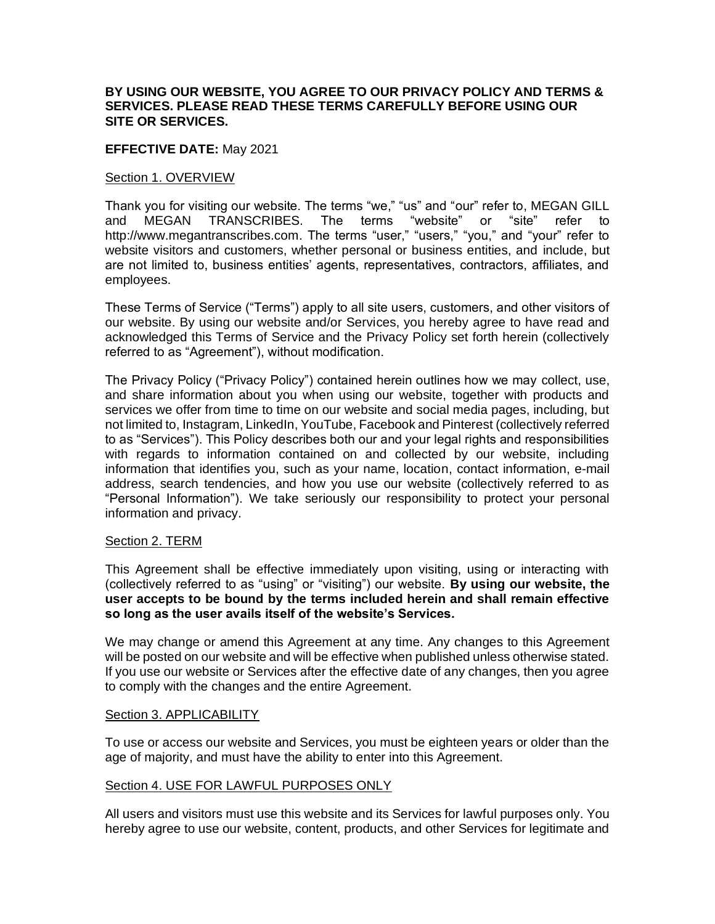### **BY USING OUR WEBSITE, YOU AGREE TO OUR PRIVACY POLICY AND TERMS & SERVICES. PLEASE READ THESE TERMS CAREFULLY BEFORE USING OUR SITE OR SERVICES.**

### **EFFECTIVE DATE:** May 2021

#### Section 1. OVERVIEW

Thank you for visiting our website. The terms "we," "us" and "our" refer to, MEGAN GILL and MEGAN TRANSCRIBES. The terms "website" or "site" refer to http://www.megantranscribes.com. The terms "user," "users," "you," and "your" refer to website visitors and customers, whether personal or business entities, and include, but are not limited to, business entities' agents, representatives, contractors, affiliates, and employees.

These Terms of Service ("Terms") apply to all site users, customers, and other visitors of our website. By using our website and/or Services, you hereby agree to have read and acknowledged this Terms of Service and the Privacy Policy set forth herein (collectively referred to as "Agreement"), without modification.

The Privacy Policy ("Privacy Policy") contained herein outlines how we may collect, use, and share information about you when using our website, together with products and services we offer from time to time on our website and social media pages, including, but not limited to, Instagram, LinkedIn, YouTube, Facebook and Pinterest (collectively referred to as "Services"). This Policy describes both our and your legal rights and responsibilities with regards to information contained on and collected by our website, including information that identifies you, such as your name, location, contact information, e-mail address, search tendencies, and how you use our website (collectively referred to as "Personal Information"). We take seriously our responsibility to protect your personal information and privacy.

### Section 2. TERM

This Agreement shall be effective immediately upon visiting, using or interacting with (collectively referred to as "using" or "visiting") our website. **By using our website, the user accepts to be bound by the terms included herein and shall remain effective so long as the user avails itself of the website's Services.**

We may change or amend this Agreement at any time. Any changes to this Agreement will be posted on our website and will be effective when published unless otherwise stated. If you use our website or Services after the effective date of any changes, then you agree to comply with the changes and the entire Agreement.

#### Section 3. APPLICABILITY

To use or access our website and Services, you must be eighteen years or older than the age of majority, and must have the ability to enter into this Agreement.

### Section 4. USE FOR LAWFUL PURPOSES ONLY

All users and visitors must use this website and its Services for lawful purposes only. You hereby agree to use our website, content, products, and other Services for legitimate and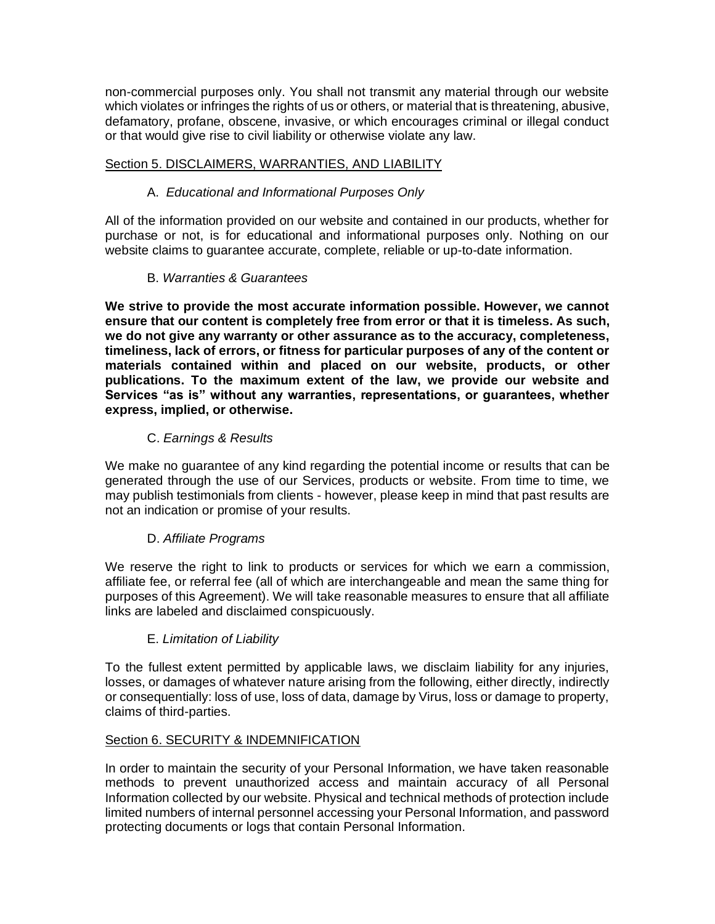non-commercial purposes only. You shall not transmit any material through our website which violates or infringes the rights of us or others, or material that is threatening, abusive, defamatory, profane, obscene, invasive, or which encourages criminal or illegal conduct or that would give rise to civil liability or otherwise violate any law.

## Section 5. DISCLAIMERS, WARRANTIES, AND LIABILITY

## A. *Educational and Informational Purposes Only*

All of the information provided on our website and contained in our products, whether for purchase or not, is for educational and informational purposes only. Nothing on our website claims to guarantee accurate, complete, reliable or up-to-date information.

## B. *Warranties & Guarantees*

**We strive to provide the most accurate information possible. However, we cannot ensure that our content is completely free from error or that it is timeless. As such, we do not give any warranty or other assurance as to the accuracy, completeness, timeliness, lack of errors, or fitness for particular purposes of any of the content or materials contained within and placed on our website, products, or other publications. To the maximum extent of the law, we provide our website and Services "as is" without any warranties, representations, or guarantees, whether express, implied, or otherwise.**

## C. *Earnings & Results*

We make no guarantee of any kind regarding the potential income or results that can be generated through the use of our Services, products or website. From time to time, we may publish testimonials from clients - however, please keep in mind that past results are not an indication or promise of your results.

## D. *Affiliate Programs*

We reserve the right to link to products or services for which we earn a commission, affiliate fee, or referral fee (all of which are interchangeable and mean the same thing for purposes of this Agreement). We will take reasonable measures to ensure that all affiliate links are labeled and disclaimed conspicuously.

## E. *Limitation of Liability*

To the fullest extent permitted by applicable laws, we disclaim liability for any injuries, losses, or damages of whatever nature arising from the following, either directly, indirectly or consequentially: loss of use, loss of data, damage by Virus, loss or damage to property, claims of third-parties.

## Section 6. SECURITY & INDEMNIFICATION

In order to maintain the security of your Personal Information, we have taken reasonable methods to prevent unauthorized access and maintain accuracy of all Personal Information collected by our website. Physical and technical methods of protection include limited numbers of internal personnel accessing your Personal Information, and password protecting documents or logs that contain Personal Information.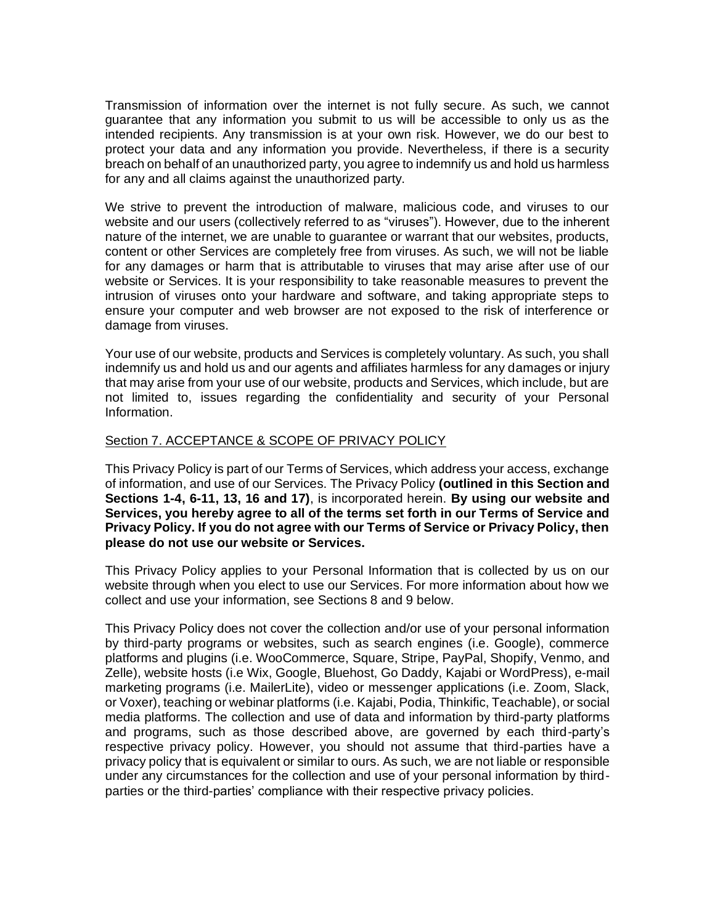Transmission of information over the internet is not fully secure. As such, we cannot guarantee that any information you submit to us will be accessible to only us as the intended recipients. Any transmission is at your own risk. However, we do our best to protect your data and any information you provide. Nevertheless, if there is a security breach on behalf of an unauthorized party, you agree to indemnify us and hold us harmless for any and all claims against the unauthorized party.

We strive to prevent the introduction of malware, malicious code, and viruses to our website and our users (collectively referred to as "viruses"). However, due to the inherent nature of the internet, we are unable to guarantee or warrant that our websites, products, content or other Services are completely free from viruses. As such, we will not be liable for any damages or harm that is attributable to viruses that may arise after use of our website or Services. It is your responsibility to take reasonable measures to prevent the intrusion of viruses onto your hardware and software, and taking appropriate steps to ensure your computer and web browser are not exposed to the risk of interference or damage from viruses.

Your use of our website, products and Services is completely voluntary. As such, you shall indemnify us and hold us and our agents and affiliates harmless for any damages or injury that may arise from your use of our website, products and Services, which include, but are not limited to, issues regarding the confidentiality and security of your Personal Information.

### Section 7. ACCEPTANCE & SCOPE OF PRIVACY POLICY

This Privacy Policy is part of our Terms of Services, which address your access, exchange of information, and use of our Services. The Privacy Policy **(outlined in this Section and Sections 1-4, 6-11, 13, 16 and 17)**, is incorporated herein. **By using our website and Services, you hereby agree to all of the terms set forth in our Terms of Service and Privacy Policy. If you do not agree with our Terms of Service or Privacy Policy, then please do not use our website or Services.**

This Privacy Policy applies to your Personal Information that is collected by us on our website through when you elect to use our Services. For more information about how we collect and use your information, see Sections 8 and 9 below.

This Privacy Policy does not cover the collection and/or use of your personal information by third-party programs or websites, such as search engines (i.e. Google), commerce platforms and plugins (i.e. WooCommerce, Square, Stripe, PayPal, Shopify, Venmo, and Zelle), website hosts (i.e Wix, Google, Bluehost, Go Daddy, Kajabi or WordPress), e-mail marketing programs (i.e. MailerLite), video or messenger applications (i.e. Zoom, Slack, or Voxer), teaching or webinar platforms (i.e. Kajabi, Podia, Thinkific, Teachable), or social media platforms. The collection and use of data and information by third-party platforms and programs, such as those described above, are governed by each third-party's respective privacy policy. However, you should not assume that third-parties have a privacy policy that is equivalent or similar to ours. As such, we are not liable or responsible under any circumstances for the collection and use of your personal information by thirdparties or the third-parties' compliance with their respective privacy policies.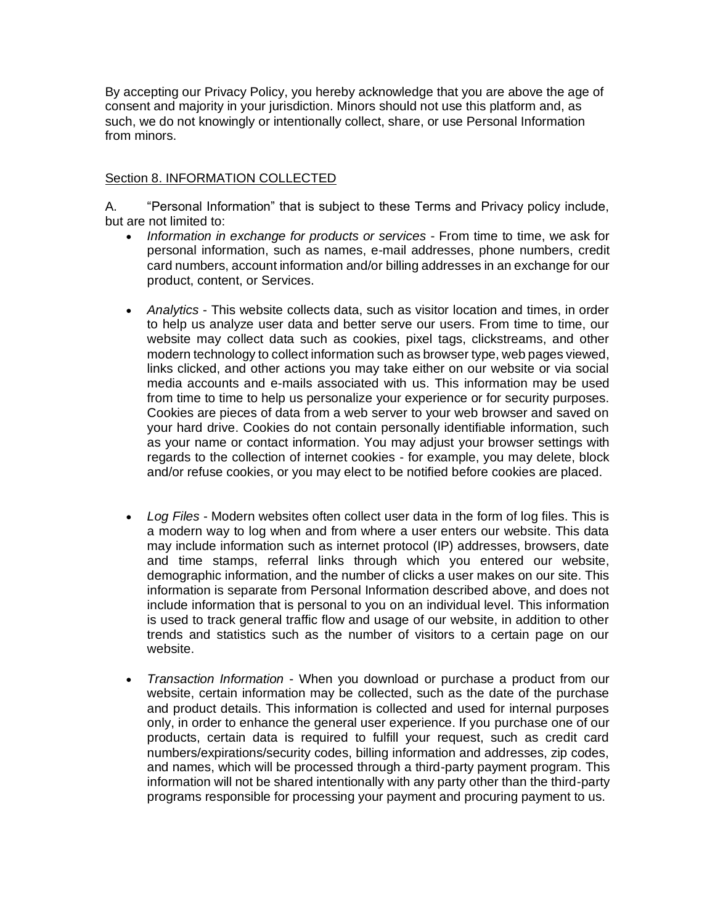By accepting our Privacy Policy, you hereby acknowledge that you are above the age of consent and majority in your jurisdiction. Minors should not use this platform and, as such, we do not knowingly or intentionally collect, share, or use Personal Information from minors.

## Section 8. INFORMATION COLLECTED

A. "Personal Information" that is subject to these Terms and Privacy policy include, but are not limited to:

- *Information in exchange for products or services*  From time to time, we ask for personal information, such as names, e-mail addresses, phone numbers, credit card numbers, account information and/or billing addresses in an exchange for our product, content, or Services.
- *Analytics* This website collects data, such as visitor location and times, in order to help us analyze user data and better serve our users. From time to time, our website may collect data such as cookies, pixel tags, clickstreams, and other modern technology to collect information such as browser type, web pages viewed, links clicked, and other actions you may take either on our website or via social media accounts and e-mails associated with us. This information may be used from time to time to help us personalize your experience or for security purposes. Cookies are pieces of data from a web server to your web browser and saved on your hard drive. Cookies do not contain personally identifiable information, such as your name or contact information. You may adjust your browser settings with regards to the collection of internet cookies - for example, you may delete, block and/or refuse cookies, or you may elect to be notified before cookies are placed.
- *Log Files* Modern websites often collect user data in the form of log files. This is a modern way to log when and from where a user enters our website. This data may include information such as internet protocol (IP) addresses, browsers, date and time stamps, referral links through which you entered our website, demographic information, and the number of clicks a user makes on our site. This information is separate from Personal Information described above, and does not include information that is personal to you on an individual level. This information is used to track general traffic flow and usage of our website, in addition to other trends and statistics such as the number of visitors to a certain page on our website.
- *Transaction Information* When you download or purchase a product from our website, certain information may be collected, such as the date of the purchase and product details. This information is collected and used for internal purposes only, in order to enhance the general user experience. If you purchase one of our products, certain data is required to fulfill your request, such as credit card numbers/expirations/security codes, billing information and addresses, zip codes, and names, which will be processed through a third-party payment program. This information will not be shared intentionally with any party other than the third-party programs responsible for processing your payment and procuring payment to us.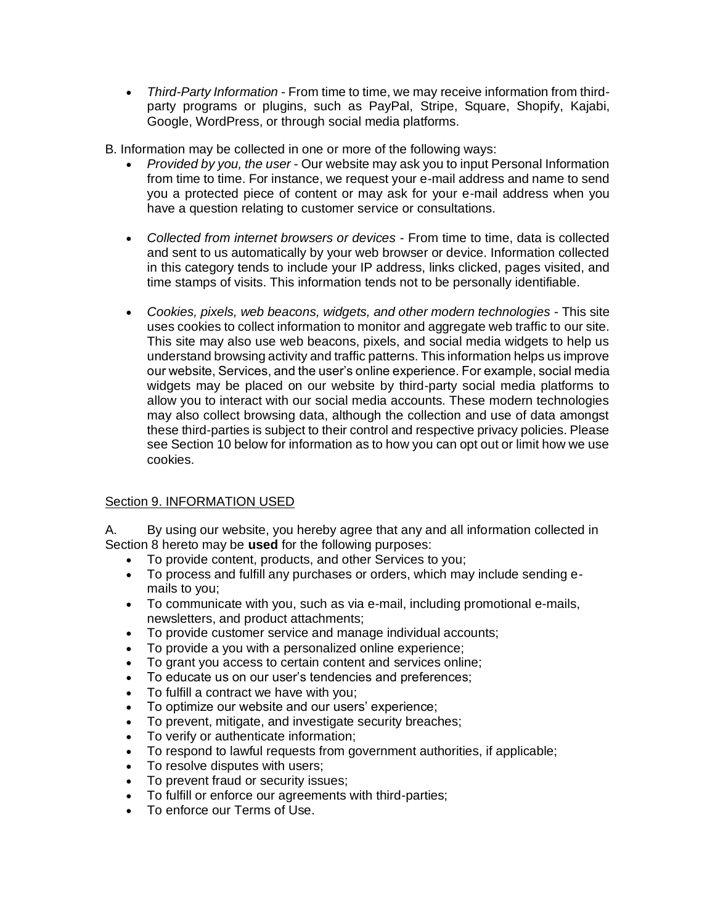- *Third-Party Information* From time to time, we may receive information from thirdparty programs or plugins, such as PayPal, Stripe, Square, Shopify, Kajabi, Google, WordPress, or through social media platforms.
- B. Information may be collected in one or more of the following ways:
	- *Provided by you, the user* Our website may ask you to input Personal Information from time to time. For instance, we request your e-mail address and name to send you a protected piece of content or may ask for your e-mail address when you have a question relating to customer service or consultations.
	- *Collected from internet browsers or devices*  From time to time, data is collected and sent to us automatically by your web browser or device. Information collected in this category tends to include your IP address, links clicked, pages visited, and time stamps of visits. This information tends not to be personally identifiable.
	- *Cookies, pixels, web beacons, widgets, and other modern technologies* This site uses cookies to collect information to monitor and aggregate web traffic to our site. This site may also use web beacons, pixels, and social media widgets to help us understand browsing activity and traffic patterns. This information helps us improve our website, Services, and the user's online experience. For example, social media widgets may be placed on our website by third-party social media platforms to allow you to interact with our social media accounts. These modern technologies may also collect browsing data, although the collection and use of data amongst these third-parties is subject to their control and respective privacy policies. Please see Section 10 below for information as to how you can opt out or limit how we use cookies.

# Section 9. INFORMATION USED

A. By using our website, you hereby agree that any and all information collected in Section 8 hereto may be **used** for the following purposes:

- To provide content, products, and other Services to you;
- To process and fulfill any purchases or orders, which may include sending emails to you;
- To communicate with you, such as via e-mail, including promotional e-mails, newsletters, and product attachments;
- To provide customer service and manage individual accounts;
- To provide a you with a personalized online experience;
- To grant you access to certain content and services online;
- To educate us on our user's tendencies and preferences;
- To fulfill a contract we have with you;
- To optimize our website and our users' experience;
- To prevent, mitigate, and investigate security breaches;
- To verify or authenticate information;
- To respond to lawful requests from government authorities, if applicable;
- To resolve disputes with users;
- To prevent fraud or security issues;
- To fulfill or enforce our agreements with third-parties;
- To enforce our Terms of Use.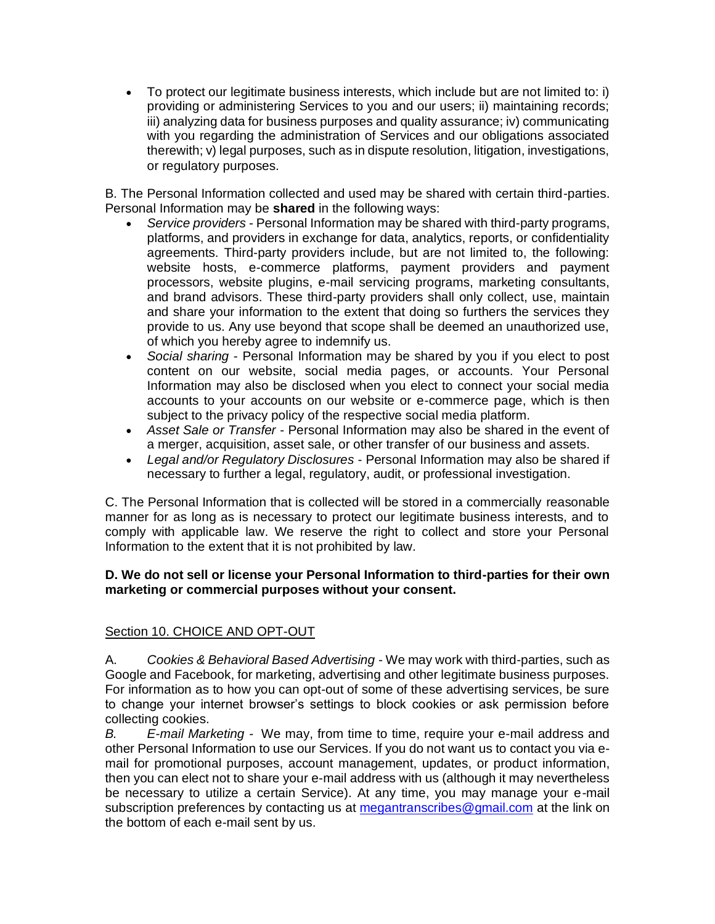• To protect our legitimate business interests, which include but are not limited to: i) providing or administering Services to you and our users; ii) maintaining records; iii) analyzing data for business purposes and quality assurance; iv) communicating with you regarding the administration of Services and our obligations associated therewith; v) legal purposes, such as in dispute resolution, litigation, investigations, or regulatory purposes.

B. The Personal Information collected and used may be shared with certain third-parties. Personal Information may be **shared** in the following ways:

- *Service providers* Personal Information may be shared with third-party programs, platforms, and providers in exchange for data, analytics, reports, or confidentiality agreements. Third-party providers include, but are not limited to, the following: website hosts, e-commerce platforms, payment providers and payment processors, website plugins, e-mail servicing programs, marketing consultants, and brand advisors. These third-party providers shall only collect, use, maintain and share your information to the extent that doing so furthers the services they provide to us. Any use beyond that scope shall be deemed an unauthorized use, of which you hereby agree to indemnify us.
- *Social sharing* Personal Information may be shared by you if you elect to post content on our website, social media pages, or accounts. Your Personal Information may also be disclosed when you elect to connect your social media accounts to your accounts on our website or e-commerce page, which is then subject to the privacy policy of the respective social media platform.
- *Asset Sale or Transfer* Personal Information may also be shared in the event of a merger, acquisition, asset sale, or other transfer of our business and assets.
- *Legal and/or Regulatory Disclosures* Personal Information may also be shared if necessary to further a legal, regulatory, audit, or professional investigation.

C. The Personal Information that is collected will be stored in a commercially reasonable manner for as long as is necessary to protect our legitimate business interests, and to comply with applicable law. We reserve the right to collect and store your Personal Information to the extent that it is not prohibited by law.

## **D. We do not sell or license your Personal Information to third-parties for their own marketing or commercial purposes without your consent.**

# Section 10. CHOICE AND OPT-OUT

A. *Cookies & Behavioral Based Advertising -* We may work with third-parties, such as Google and Facebook, for marketing, advertising and other legitimate business purposes. For information as to how you can opt-out of some of these advertising services, be sure to change your internet browser's settings to block cookies or ask permission before collecting cookies.

*B. E-mail Marketing -* We may, from time to time, require your e-mail address and other Personal Information to use our Services. If you do not want us to contact you via email for promotional purposes, account management, updates, or product information, then you can elect not to share your e-mail address with us (although it may nevertheless be necessary to utilize a certain Service). At any time, you may manage your e-mail subscription preferences by contacting us at [megantranscribes@gmail.com](mailto:megantranscribes@gmail.com) at the link on the bottom of each e-mail sent by us.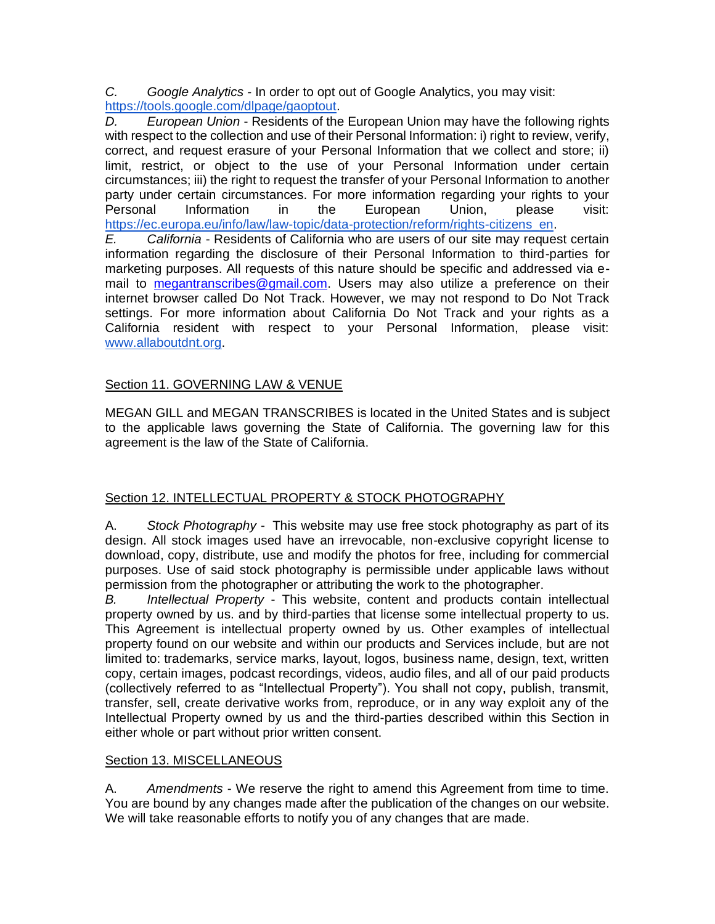*C. Google Analytics -* In order to opt out of Google Analytics, you may visit: [https://tools.google.com/dlpage/gaoptout.](https://tools.google.com/dlpage/gaoptout)

*D. European Union* - Residents of the European Union may have the following rights with respect to the collection and use of their Personal Information: i) right to review, verify, correct, and request erasure of your Personal Information that we collect and store; ii) limit, restrict, or object to the use of your Personal Information under certain circumstances; iii) the right to request the transfer of your Personal Information to another party under certain circumstances. For more information regarding your rights to your Personal Information in the European Union, please visit: [https://ec.europa.eu/info/law/law-topic/data-protection/reform/rights-citizens\\_en.](https://ec.europa.eu/info/law/law-topic/data-protection/reform/rights-citizens_en)

*E. California* - Residents of California who are users of our site may request certain information regarding the disclosure of their Personal Information to third-parties for marketing purposes. All requests of this nature should be specific and addressed via email to [megantranscribes@gmail.com.](mailto:megantranscribes@gmail.com) Users may also utilize a preference on their internet browser called Do Not Track. However, we may not respond to Do Not Track settings. For more information about California Do Not Track and your rights as a California resident with respect to your Personal Information, please visit: [www.allaboutdnt.org.](http://www.allaboutdnt.org/)

# Section 11. GOVERNING LAW & VENUE

MEGAN GILL and MEGAN TRANSCRIBES is located in the United States and is subject to the applicable laws governing the State of California. The governing law for this agreement is the law of the State of California.

# Section 12. INTELLECTUAL PROPERTY & STOCK PHOTOGRAPHY

A. *Stock Photography* - This website may use free stock photography as part of its design. All stock images used have an irrevocable, non-exclusive copyright license to download, copy, distribute, use and modify the photos for free, including for commercial purposes. Use of said stock photography is permissible under applicable laws without permission from the photographer or attributing the work to the photographer.

*B. Intellectual Property* - This website, content and products contain intellectual property owned by us. and by third-parties that license some intellectual property to us. This Agreement is intellectual property owned by us. Other examples of intellectual property found on our website and within our products and Services include, but are not limited to: trademarks, service marks, layout, logos, business name, design, text, written copy, certain images, podcast recordings, videos, audio files, and all of our paid products (collectively referred to as "Intellectual Property"). You shall not copy, publish, transmit, transfer, sell, create derivative works from, reproduce, or in any way exploit any of the Intellectual Property owned by us and the third-parties described within this Section in either whole or part without prior written consent.

# Section 13. MISCELLANEOUS

A. *Amendments* - We reserve the right to amend this Agreement from time to time. You are bound by any changes made after the publication of the changes on our website. We will take reasonable efforts to notify you of any changes that are made.